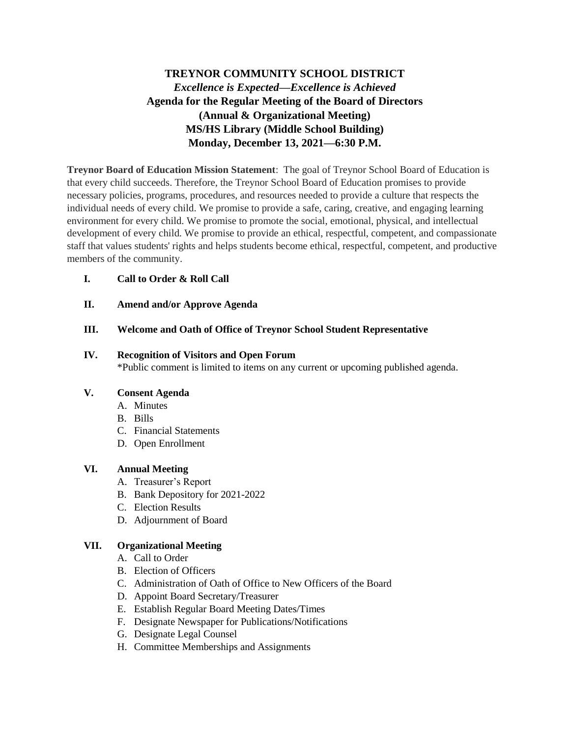# **TREYNOR COMMUNITY SCHOOL DISTRICT** *Excellence is Expected—Excellence is Achieved* **Agenda for the Regular Meeting of the Board of Directors (Annual & Organizational Meeting) MS/HS Library (Middle School Building) Monday, December 13, 2021—6:30 P.M.**

**Treynor Board of Education Mission Statement**: The goal of Treynor School Board of Education is that every child succeeds. Therefore, the Treynor School Board of Education promises to provide necessary policies, programs, procedures, and resources needed to provide a culture that respects the individual needs of every child. We promise to provide a safe, caring, creative, and engaging learning environment for every child. We promise to promote the social, emotional, physical, and intellectual development of every child. We promise to provide an ethical, respectful, competent, and compassionate staff that values students' rights and helps students become ethical, respectful, competent, and productive members of the community.

### **I. Call to Order & Roll Call**

**II. Amend and/or Approve Agenda**

### **III. Welcome and Oath of Office of Treynor School Student Representative**

#### **IV. Recognition of Visitors and Open Forum**

\*Public comment is limited to items on any current or upcoming published agenda.

#### **V. Consent Agenda**

- A. Minutes
- B. Bills
- C. Financial Statements
- D. Open Enrollment

#### **VI. Annual Meeting**

- A. Treasurer's Report
- B. Bank Depository for 2021-2022
- C. Election Results
- D. Adjournment of Board

#### **VII. Organizational Meeting**

- A. Call to Order
- B. Election of Officers
- C. Administration of Oath of Office to New Officers of the Board
- D. Appoint Board Secretary/Treasurer
- E. Establish Regular Board Meeting Dates/Times
- F. Designate Newspaper for Publications/Notifications
- G. Designate Legal Counsel
- H. Committee Memberships and Assignments